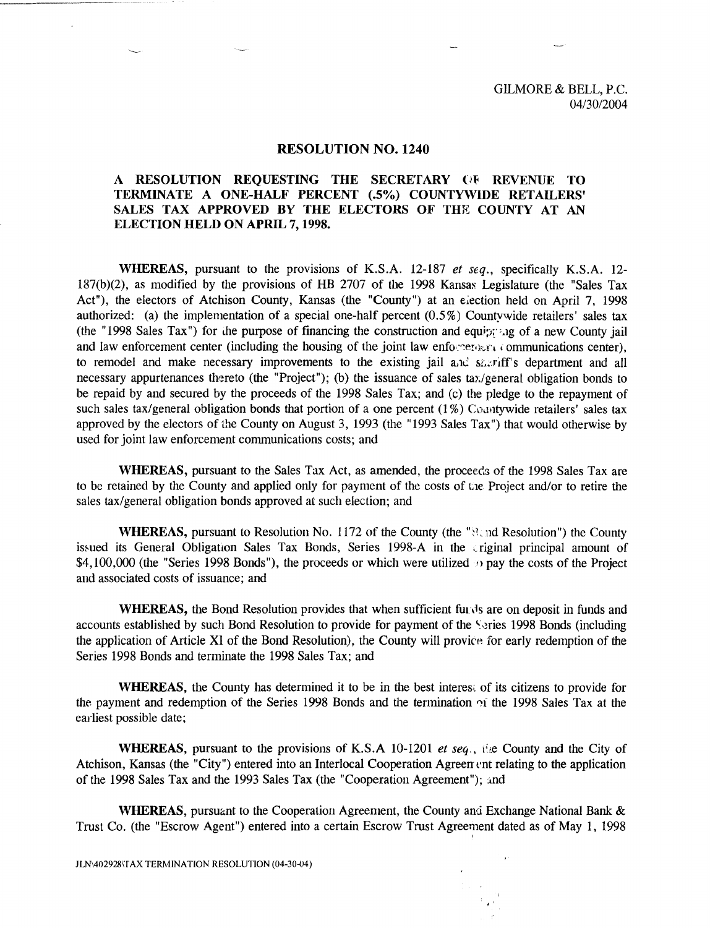## **RESOLUTION NO. 1240**

## A RESOLUTION REQUESTING THE SECRETARY (Jt REVENUE TO TERMINATE A ONE-HALF PERCENT (.5%) COUNTYWIDE RETAILERS' SALES TAX APPROVED BY THE ELECTORS OF THE COUNTY AT AN ELECTION HELD ON APRIL 7, 1998.

WHEREAS, pursuant to the provisions of K.S.A. 12-187 *et seq.,* specifically K.S.A. 12- 187(b)(2), as modified by the provisions of HB 2707 of the 1998 Kansas Legislature (the "Sales Tax Act"), the electors of Atchison County, Kansas (the "County") at an election held on April 7, 1998 authorized: (a) the implementation of a special one-half percent (0.5%) Countywide retailers' sales tax (the "1998 Sales Tax") for the purpose of financing the construction and equipment of a new County jail and law enforcement center (including the housing of the joint law enforcement communications center), to remodel and make necessary improvements to the existing jail and solutiff's department and all necessary appurtenances thereto (the "Project"); (b) the issuance of sales tax/general obligation bonds to be repaid by and secured by the proceeds of the 1998 Sales Tax; and (c) the pledge to the repayment of such sales tax/general obligation bonds that portion of a one percent  $(1\%)$  Countywide retailers' sales tax approved by the electors of the County on August 3, 1993 (the "1993 Sales Tax") that would otherwise by used for joint law enforcement communications costs; and

WHEREAS, pursuant to the Sales Tax Act, as amended, the proceeds of the 1998 Sales Tax are to be retained by the County and applied only for payment of the costs of Lie Project and/or to retire the sales tax/general obligation bonds approved at such election; and

WHEREAS, pursuant to Resolution No. 1172 of the County (the "Nearly Resolution") the County issued its General Obligation Sales Tax Bonds, Series 1998-A in the criginal principal amount of \$4,100,000 (the "Series 1998 Bonds"), the proceeds or which were utilized  $\eta$  pay the costs of the Project and associated costs of issuance; and

WHEREAS, the Bond Resolution provides that when sufficient funds are on deposit in funds and accounts established by such Bond Resolution to provide for payment of the Series 1998 Bonds (including the application of Article XI of the Bond Resolution), the County will provice for early redemption of the Series 1998 Bonds and terminate the 1998 Sales Tax; and

WHEREAS, the County has determined it to be in the best interest of its citizens to provide for the payment and redemption of the Series 1998 Bonds and the termination  $\gamma$  the 1998 Sales Tax at the earliest possible date;

WHEREAS, pursuant to the provisions of K.S.A 10-1201 *et seq.,* i'e County and the City of Atchison, Kansas (the "City") entered into an Interlocal Cooperation Agreement relating to the application of the 1998 Sales Tax and the 1993 Sales Tax (the "Cooperation Agreement"); and

WHEREAS, pursuant to the Cooperation Agreement, the County and Exchange National Bank & Trust Co. (the "Escrow Agent") entered into a certain Escrow Trust Agreement dated as of May 1, 1998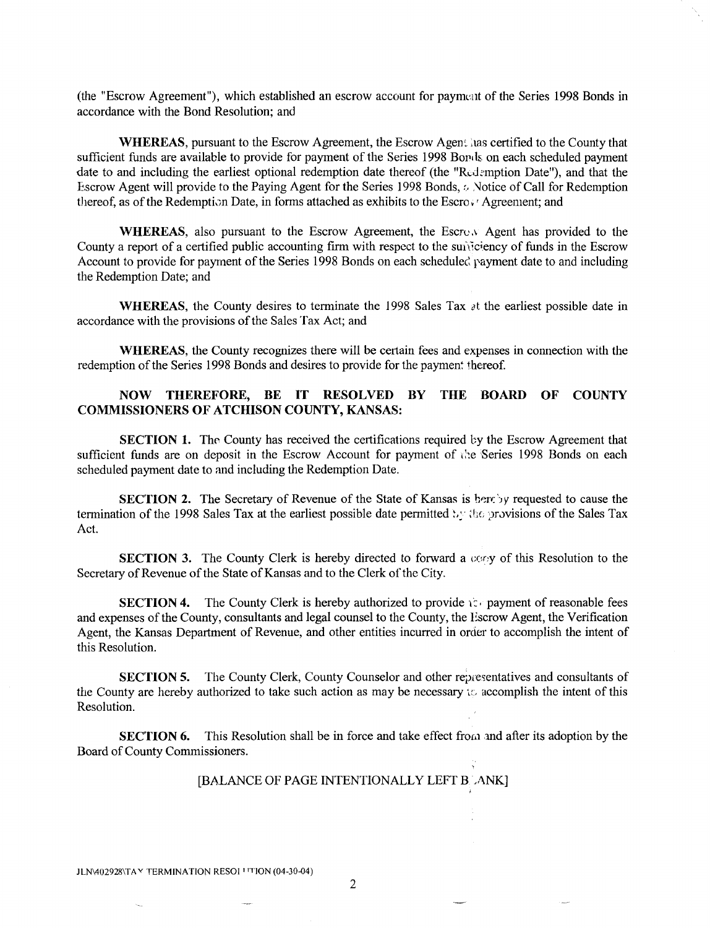(the "Escrow Agreement"), which established an escrow account for payment of the Series 1998 Bonds in accordance with the Bond Resolution; and

WHEREAS, pursuant to the Escrow Agreement, the Escrow Agent has certified to the County that sufficient funds are available to provide for payment of the Series 1998 Boris on each scheduled payment date to and including the earliest optional redemption date thereof (the "Redemption Date"), and that the Escrow Agent will provide to the Paying Agent for the Series 1998 Bonds,  $\circ$ , Notice of Call for Redemption thereof, as of the Redemption Date, in forms attached as exhibits to the Escro $\cdot$ ' Agreement; and

WHEREAS, also pursuant to the Escrow Agreement, the Escrow Agent has provided to the County a report of a certified public accounting firm with respect to the sunficiency of funds in the Escrow Account to provide for payment of the Series 1998 Bonds on each scheduled payment date to and including the Redemption Date; and

**WHEREAS**, the County desires to terminate the 1998 Sales Tax  $\lambda t$  the earliest possible date in accordance with the provisions of the Sales Tax Act; and

WHEREAS, the County recognizes there will be certain fees and expenses in connection with the redemption of the Series 1998 Bonds and desires to provide for the payment thereof.

## NOW THEREFORE, BE IT RESOLVED BY THE BOARD OF COUNTY COMMISSIONERS OF ATCHISON COUNTY, KANSAS:

SECTION 1. The County has received the certifications required by the Escrow Agreement that sufficient funds are on deposit in the Escrow Account for payment of the Series 1998 Bonds on each scheduled payment date to and including the Redemption Date.

SECTION 2. The Secretary of Revenue of the State of Kansas is hereby requested to cause the termination of the 1998 Sales Tax at the earliest possible date permitted  $\mathcal{V}$ ; the provisions of the Sales Tax Act.

**SECTION 3.** The County Clerk is hereby directed to forward a  $\cos y$  of this Resolution to the Secretary of Revenue of the State of Kansas and to the Clerk of the City.

**SECTION 4.** The County Clerk is hereby authorized to provide  $i \in \mathbb{R}$  payment of reasonable fees and expenses of the County, consultants and legal counsel to the County, the Escrow Agent, the Verification Agent, the Kansas Department of Revenue, and other entities incurred in order to accomplish the intent of this Resolution.

SECTION 5. The County Clerk, County Counselor and other representatives and consultants of the County are hereby authorized to take such action as may be necessary to accomplish the intent of this Resolution.

SECTION 6. This Resolution shall be in force and take effect from and after its adoption by the Board of County Commissioners.

## [BALANCE OF PAGE INTENTIONALLY LEFT BLANK]